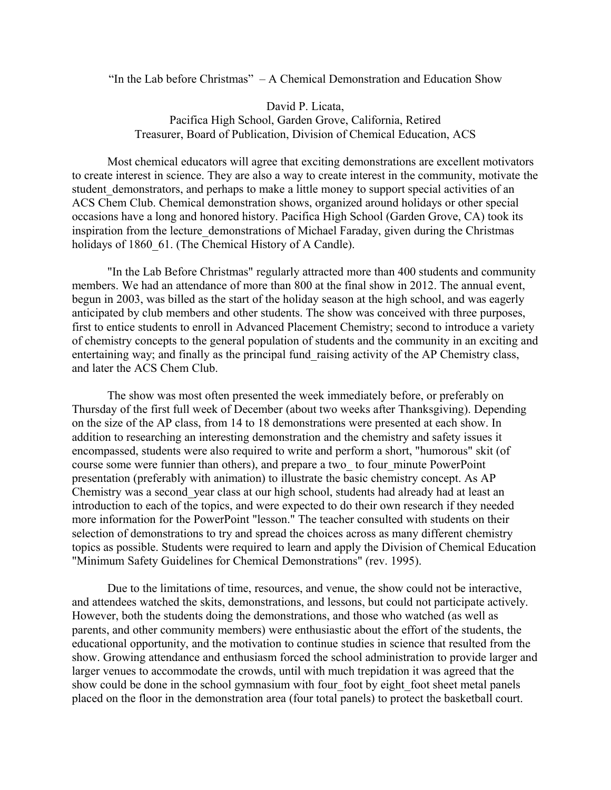"In the Lab before Christmas"  $-A$  Chemical Demonstration and Education Show

David P. Licata, Pacifica High School, Garden Grove, California, Retired Treasurer, Board of Publication, Division of Chemical Education, ACS

Most chemical educators will agree that exciting demonstrations are excellent motivators to create interest in science. They are also a way to create interest in the community, motivate the student demonstrators, and perhaps to make a little money to support special activities of an ACS Chem Club. Chemical demonstration shows, organized around holidays or other special occasions have a long and honored history. Pacifica High School (Garden Grove, CA) took its inspiration from the lecture demonstrations of Michael Faraday, given during the Christmas holidays of 1860 61. (The Chemical History of A Candle).

"In the Lab Before Christmas" regularly attracted more than 400 students and community members. We had an attendance of more than 800 at the final show in 2012. The annual event, begun in 2003, was billed as the start of the holiday season at the high school, and was eagerly anticipated by club members and other students. The show was conceived with three purposes, first to entice students to enroll in Advanced Placement Chemistry; second to introduce a variety of chemistry concepts to the general population of students and the community in an exciting and entertaining way; and finally as the principal fund\_raising activity of the AP Chemistry class, and later the ACS Chem Club.

The show was most often presented the week immediately before, or preferably on Thursday of the first full week of December (about two weeks after Thanksgiving). Depending on the size of the AP class, from 14 to 18 demonstrations were presented at each show. In addition to researching an interesting demonstration and the chemistry and safety issues it encompassed, students were also required to write and perform a short, "humorous" skit (of course some were funnier than others), and prepare a two\_ to four\_minute PowerPoint presentation (preferably with animation) to illustrate the basic chemistry concept. As AP Chemistry was a second\_year class at our high school, students had already had at least an introduction to each of the topics, and were expected to do their own research if they needed more information for the PowerPoint "lesson." The teacher consulted with students on their selection of demonstrations to try and spread the choices across as many different chemistry topics as possible. Students were required to learn and apply the Division of Chemical Education "Minimum Safety Guidelines for Chemical Demonstrations" (rev. 1995).

Due to the limitations of time, resources, and venue, the show could not be interactive, and attendees watched the skits, demonstrations, and lessons, but could not participate actively. However, both the students doing the demonstrations, and those who watched (as well as parents, and other community members) were enthusiastic about the effort of the students, the educational opportunity, and the motivation to continue studies in science that resulted from the show. Growing attendance and enthusiasm forced the school administration to provide larger and larger venues to accommodate the crowds, until with much trepidation it was agreed that the show could be done in the school gymnasium with four foot by eight foot sheet metal panels placed on the floor in the demonstration area (four total panels) to protect the basketball court.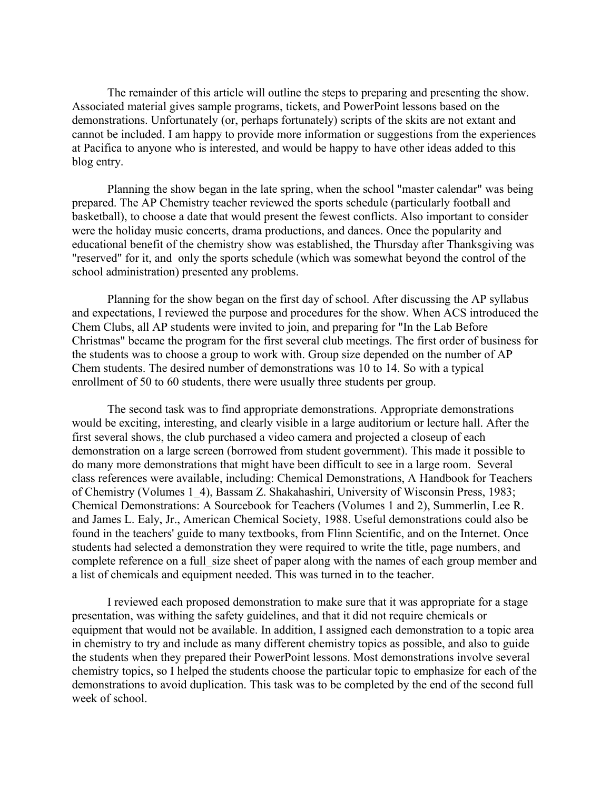The remainder of this article will outline the steps to preparing and presenting the show. Associated material gives sample programs, tickets, and PowerPoint lessons based on the demonstrations. Unfortunately (or, perhaps fortunately) scripts of the skits are not extant and cannot be included. I am happy to provide more information or suggestions from the experiences at Pacifica to anyone who is interested, and would be happy to have other ideas added to this blog entry.

Planning the show began in the late spring, when the school "master calendar" was being prepared. The AP Chemistry teacher reviewed the sports schedule (particularly football and basketball), to choose a date that would present the fewest conflicts. Also important to consider were the holiday music concerts, drama productions, and dances. Once the popularity and educational benefit of the chemistry show was established, the Thursday after Thanksgiving was "reserved" for it, and only the sports schedule (which was somewhat beyond the control of the school administration) presented any problems.

Planning for the show began on the first day of school. After discussing the AP syllabus and expectations, I reviewed the purpose and procedures for the show. When ACS introduced the Chem Clubs, all AP students were invited to join, and preparing for "In the Lab Before Christmas" became the program for the first several club meetings. The first order of business for the students was to choose a group to work with. Group size depended on the number of AP Chem students. The desired number of demonstrations was 10 to 14. So with a typical enrollment of 50 to 60 students, there were usually three students per group.

The second task was to find appropriate demonstrations. Appropriate demonstrations would be exciting, interesting, and clearly visible in a large auditorium or lecture hall. After the first several shows, the club purchased a video camera and projected a closeup of each demonstration on a large screen (borrowed from student government). This made it possible to do many more demonstrations that might have been difficult to see in a large room. Several class references were available, including: Chemical Demonstrations, A Handbook for Teachers of Chemistry (Volumes 1\_4), Bassam Z. Shakahashiri, University of Wisconsin Press, 1983; Chemical Demonstrations: A Sourcebook for Teachers (Volumes 1 and 2), Summerlin, Lee R. and James L. Ealy, Jr., American Chemical Society, 1988. Useful demonstrations could also be found in the teachers' guide to many textbooks, from Flinn Scientific, and on the Internet. Once students had selected a demonstration they were required to write the title, page numbers, and complete reference on a full size sheet of paper along with the names of each group member and a list of chemicals and equipment needed. This was turned in to the teacher.

I reviewed each proposed demonstration to make sure that it was appropriate for a stage presentation, was withing the safety guidelines, and that it did not require chemicals or equipment that would not be available. In addition, I assigned each demonstration to a topic area in chemistry to try and include as many different chemistry topics as possible, and also to guide the students when they prepared their PowerPoint lessons. Most demonstrations involve several chemistry topics, so I helped the students choose the particular topic to emphasize for each of the demonstrations to avoid duplication. This task was to be completed by the end of the second full week of school.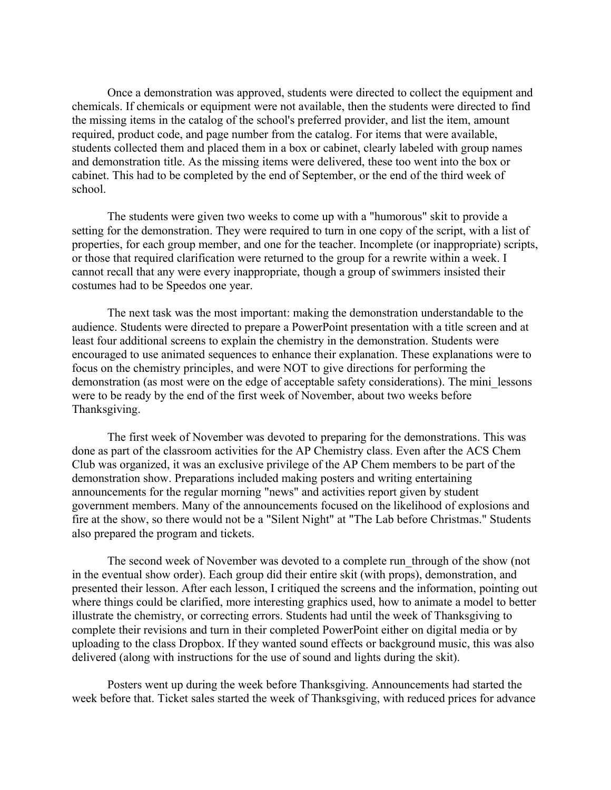Once a demonstration was approved, students were directed to collect the equipment and chemicals. If chemicals or equipment were not available, then the students were directed to find the missing items in the catalog of the school's preferred provider, and list the item, amount required, product code, and page number from the catalog. For items that were available, students collected them and placed them in a box or cabinet, clearly labeled with group names and demonstration title. As the missing items were delivered, these too went into the box or cabinet. This had to be completed by the end of September, or the end of the third week of school.

The students were given two weeks to come up with a "humorous" skit to provide a setting for the demonstration. They were required to turn in one copy of the script, with a list of properties, for each group member, and one for the teacher. Incomplete (or inappropriate) scripts, or those that required clarification were returned to the group for a rewrite within a week. I cannot recall that any were every inappropriate, though a group of swimmers insisted their costumes had to be Speedos one year.

The next task was the most important: making the demonstration understandable to the audience. Students were directed to prepare a PowerPoint presentation with a title screen and at least four additional screens to explain the chemistry in the demonstration. Students were encouraged to use animated sequences to enhance their explanation. These explanations were to focus on the chemistry principles, and were NOT to give directions for performing the demonstration (as most were on the edge of acceptable safety considerations). The mini\_lessons were to be ready by the end of the first week of November, about two weeks before Thanksgiving.

The first week of November was devoted to preparing for the demonstrations. This was done as part of the classroom activities for the AP Chemistry class. Even after the ACS Chem Club was organized, it was an exclusive privilege of the AP Chem members to be part of the demonstration show. Preparations included making posters and writing entertaining announcements for the regular morning "news" and activities report given by student government members. Many of the announcements focused on the likelihood of explosions and fire at the show, so there would not be a "Silent Night" at "The Lab before Christmas." Students also prepared the program and tickets.

The second week of November was devoted to a complete run\_through of the show (not in the eventual show order). Each group did their entire skit (with props), demonstration, and presented their lesson. After each lesson, I critiqued the screens and the information, pointing out where things could be clarified, more interesting graphics used, how to animate a model to better illustrate the chemistry, or correcting errors. Students had until the week of Thanksgiving to complete their revisions and turn in their completed PowerPoint either on digital media or by uploading to the class Dropbox. If they wanted sound effects or background music, this was also delivered (along with instructions for the use of sound and lights during the skit).

Posters went up during the week before Thanksgiving. Announcements had started the week before that. Ticket sales started the week of Thanksgiving, with reduced prices for advance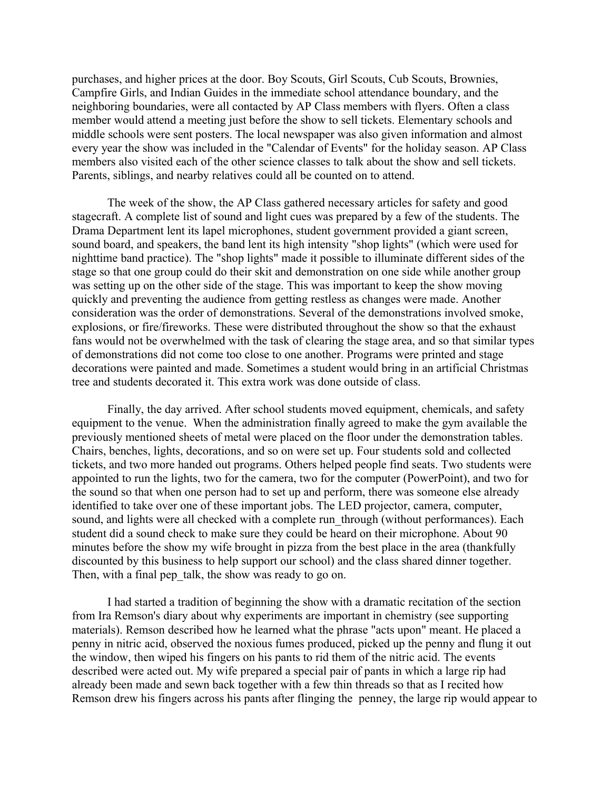purchases, and higher prices at the door. Boy Scouts, Girl Scouts, Cub Scouts, Brownies, Campfire Girls, and Indian Guides in the immediate school attendance boundary, and the neighboring boundaries, were all contacted by AP Class members with flyers. Often a class member would attend a meeting just before the show to sell tickets. Elementary schools and middle schools were sent posters. The local newspaper was also given information and almost every year the show was included in the "Calendar of Events" for the holiday season. AP Class members also visited each of the other science classes to talk about the show and sell tickets. Parents, siblings, and nearby relatives could all be counted on to attend.

The week of the show, the AP Class gathered necessary articles for safety and good stagecraft. A complete list of sound and light cues was prepared by a few of the students. The Drama Department lent its lapel microphones, student government provided a giant screen, sound board, and speakers, the band lent its high intensity "shop lights" (which were used for nighttime band practice). The "shop lights" made it possible to illuminate different sides of the stage so that one group could do their skit and demonstration on one side while another group was setting up on the other side of the stage. This was important to keep the show moving quickly and preventing the audience from getting restless as changes were made. Another consideration was the order of demonstrations. Several of the demonstrations involved smoke, explosions, or fire/fireworks. These were distributed throughout the show so that the exhaust fans would not be overwhelmed with the task of clearing the stage area, and so that similar types of demonstrations did not come too close to one another. Programs were printed and stage decorations were painted and made. Sometimes a student would bring in an artificial Christmas tree and students decorated it. This extra work was done outside of class.

Finally, the day arrived. After school students moved equipment, chemicals, and safety equipment to the venue. When the administration finally agreed to make the gym available the previously mentioned sheets of metal were placed on the floor under the demonstration tables. Chairs, benches, lights, decorations, and so on were set up. Four students sold and collected tickets, and two more handed out programs. Others helped people find seats. Two students were appointed to run the lights, two for the camera, two for the computer (PowerPoint), and two for the sound so that when one person had to set up and perform, there was someone else already identified to take over one of these important jobs. The LED projector, camera, computer, sound, and lights were all checked with a complete run through (without performances). Each student did a sound check to make sure they could be heard on their microphone. About 90 minutes before the show my wife brought in pizza from the best place in the area (thankfully discounted by this business to help support our school) and the class shared dinner together. Then, with a final pep talk, the show was ready to go on.

I had started a tradition of beginning the show with a dramatic recitation of the section from Ira Remson's diary about why experiments are important in chemistry (see supporting materials). Remson described how he learned what the phrase "acts upon" meant. He placed a penny in nitric acid, observed the noxious fumes produced, picked up the penny and flung it out the window, then wiped his fingers on his pants to rid them of the nitric acid. The events described were acted out. My wife prepared a special pair of pants in which a large rip had already been made and sewn back together with a few thin threads so that as I recited how Remson drew his fingers across his pants after flinging the penney, the large rip would appear to